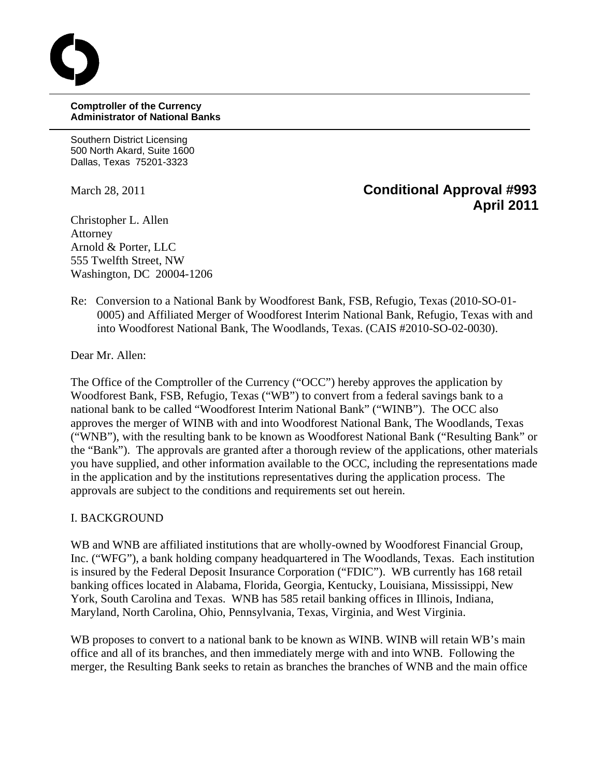**Comptroller of the Currency Administrator of National Banks**

Southern District Licensing 500 North Akard, Suite 1600 Dallas, Texas 75201-3323

# March 28, 2011 **Conditional Approval #993 April 2011**

Christopher L. Allen Attorney Arnold & Porter, LLC 555 Twelfth Street, NW Washington, DC 20004-1206

Re: Conversion to a National Bank by Woodforest Bank, FSB, Refugio, Texas (2010-SO-01- 0005) and Affiliated Merger of Woodforest Interim National Bank, Refugio, Texas with and into Woodforest National Bank, The Woodlands, Texas. (CAIS #2010-SO-02-0030).

Dear Mr. Allen:

The Office of the Comptroller of the Currency ("OCC") hereby approves the application by Woodforest Bank, FSB, Refugio, Texas ("WB") to convert from a federal savings bank to a national bank to be called "Woodforest Interim National Bank" ("WINB"). The OCC also approves the merger of WINB with and into Woodforest National Bank, The Woodlands, Texas ("WNB"), with the resulting bank to be known as Woodforest National Bank ("Resulting Bank" or the "Bank"). The approvals are granted after a thorough review of the applications, other materials you have supplied, and other information available to the OCC, including the representations made in the application and by the institutions representatives during the application process. The approvals are subject to the conditions and requirements set out herein.

#### I. BACKGROUND

WB and WNB are affiliated institutions that are wholly-owned by Woodforest Financial Group, Inc. ("WFG"), a bank holding company headquartered in The Woodlands, Texas. Each institution is insured by the Federal Deposit Insurance Corporation ("FDIC"). WB currently has 168 retail banking offices located in Alabama, Florida, Georgia, Kentucky, Louisiana, Mississippi, New York, South Carolina and Texas. WNB has 585 retail banking offices in Illinois, Indiana, Maryland, North Carolina, Ohio, Pennsylvania, Texas, Virginia, and West Virginia.

WB proposes to convert to a national bank to be known as WINB. WINB will retain WB's main office and all of its branches, and then immediately merge with and into WNB. Following the merger, the Resulting Bank seeks to retain as branches the branches of WNB and the main office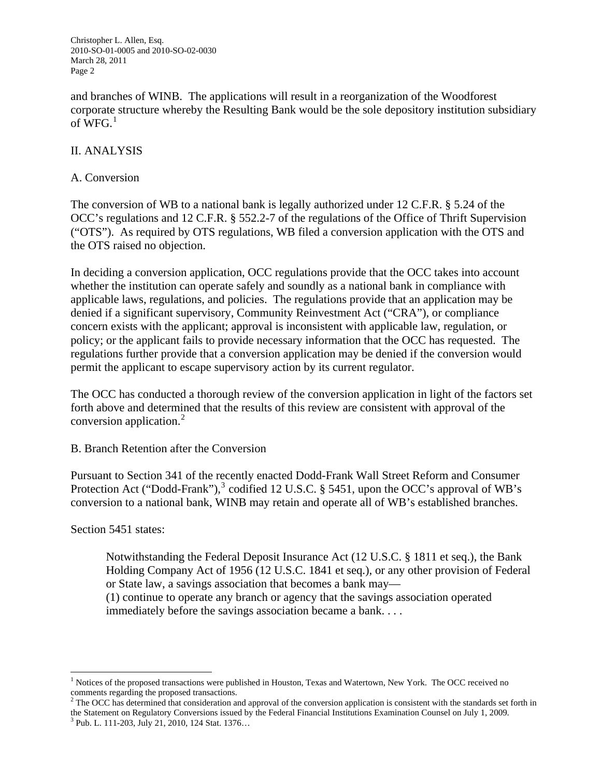and branches of WINB. The applications will result in a reorganization of the Woodforest corporate structure whereby the Resulting Bank would be the sole depository institution subsidiary of  $WFG<sup>1</sup>$  $WFG<sup>1</sup>$  $WFG<sup>1</sup>$ 

## II. ANALYSIS

#### A. Conversion

The conversion of WB to a national bank is legally authorized under 12 C.F.R. § 5.24 of the OCC's regulations and 12 C.F.R. § 552.2-7 of the regulations of the Office of Thrift Supervision ("OTS"). As required by OTS regulations, WB filed a conversion application with the OTS and the OTS raised no objection.

In deciding a conversion application, OCC regulations provide that the OCC takes into account whether the institution can operate safely and soundly as a national bank in compliance with applicable laws, regulations, and policies. The regulations provide that an application may be denied if a significant supervisory, Community Reinvestment Act ("CRA"), or compliance concern exists with the applicant; approval is inconsistent with applicable law, regulation, or policy; or the applicant fails to provide necessary information that the OCC has requested. The regulations further provide that a conversion application may be denied if the conversion would permit the applicant to escape supervisory action by its current regulator.

The OCC has conducted a thorough review of the conversion application in light of the factors set forth above and determined that the results of this review are consistent with approval of the conversion application. $^{2}$  $^{2}$  $^{2}$ 

B. Branch Retention after the Conversion

Pursuant to Section 341 of the recently enacted Dodd-Frank Wall Street Reform and Consumer Protection Act ("Dodd-Frank"),<sup>[3](#page-1-2)</sup> codified 12 U.S.C. § 5451, upon the OCC's approval of WB's conversion to a national bank, WINB may retain and operate all of WB's established branches.

Section 5451 states:

 $\overline{a}$ 

Notwithstanding the Federal Deposit Insurance Act (12 U.S.C. § 1811 et seq.), the Bank Holding Company Act of 1956 (12 U.S.C. 1841 et seq.), or any other provision of Federal or State law, a savings association that becomes a bank may—

(1) continue to operate any branch or agency that the savings association operated immediately before the savings association became a bank. . . .

<span id="page-1-0"></span><sup>&</sup>lt;sup>1</sup> Notices of the proposed transactions were published in Houston, Texas and Watertown, New York. The OCC received no comments regarding the proposed transactions.

<span id="page-1-1"></span> $<sup>2</sup>$  The OCC has determined that consideration and approval of the conversion application is consistent with the standards set forth in</sup> the Statement on Regulatory Conversions issued by the Federal Financial Institutions Examination Counsel on July 1, 2009.

<span id="page-1-2"></span><sup>&</sup>lt;sup>3</sup> Pub. L. 111-203, July 21, 2010, 124 Stat. 1376...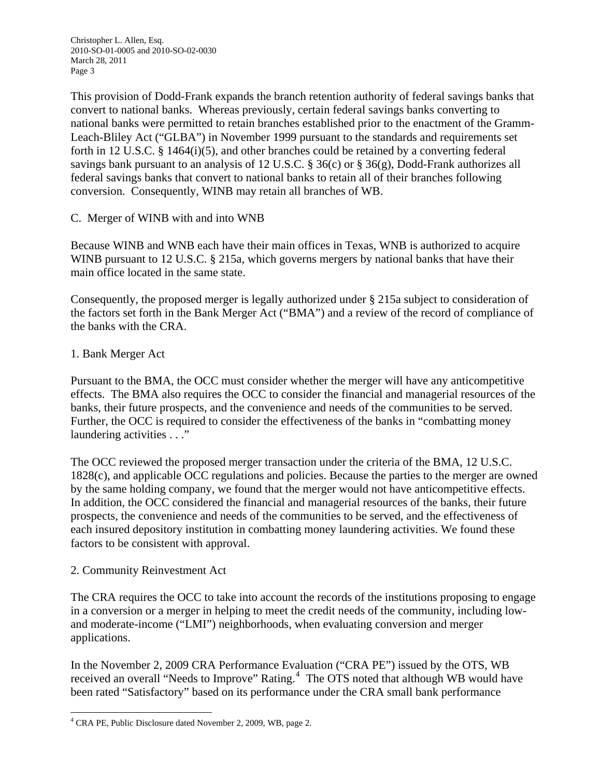This provision of Dodd-Frank expands the branch retention authority of federal savings banks that convert to national banks. Whereas previously, certain federal savings banks converting to national banks were permitted to retain branches established prior to the enactment of the Gramm-Leach-Bliley Act ("GLBA") in November 1999 pursuant to the standards and requirements set forth in 12 U.S.C. § 1464(i)(5), and other branches could be retained by a converting federal savings bank pursuant to an analysis of 12 U.S.C. § 36(c) or § 36(g), Dodd-Frank authorizes all federal savings banks that convert to national banks to retain all of their branches following conversion. Consequently, WINB may retain all branches of WB.

# C. Merger of WINB with and into WNB

Because WINB and WNB each have their main offices in Texas, WNB is authorized to acquire WINB pursuant to 12 U.S.C. § 215a, which governs mergers by national banks that have their main office located in the same state.

Consequently, the proposed merger is legally authorized under § 215a subject to consideration of the factors set forth in the Bank Merger Act ("BMA") and a review of the record of compliance of the banks with the CRA.

#### 1. Bank Merger Act

Pursuant to the BMA, the OCC must consider whether the merger will have any anticompetitive effects. The BMA also requires the OCC to consider the financial and managerial resources of the banks, their future prospects, and the convenience and needs of the communities to be served. Further, the OCC is required to consider the effectiveness of the banks in "combatting money laundering activities . . ."

The OCC reviewed the proposed merger transaction under the criteria of the BMA, 12 U.S.C. 1828(c), and applicable OCC regulations and policies. Because the parties to the merger are owned by the same holding company, we found that the merger would not have anticompetitive effects. In addition, the OCC considered the financial and managerial resources of the banks, their future prospects, the convenience and needs of the communities to be served, and the effectiveness of each insured depository institution in combatting money laundering activities. We found these factors to be consistent with approval.

#### 2. Community Reinvestment Act

 $\overline{a}$ 

The CRA requires the OCC to take into account the records of the institutions proposing to engage in a conversion or a merger in helping to meet the credit needs of the community, including lowand moderate-income ("LMI") neighborhoods, when evaluating conversion and merger applications.

In the November 2, 2009 CRA Performance Evaluation ("CRA PE") issued by the OTS, WB received an overall "Needs to Improve" Rating.<sup>[4](#page-2-0)</sup> The OTS noted that although WB would have been rated "Satisfactory" based on its performance under the CRA small bank performance

<span id="page-2-0"></span><sup>&</sup>lt;sup>4</sup> CRA PE, Public Disclosure dated November 2, 2009, WB, page 2.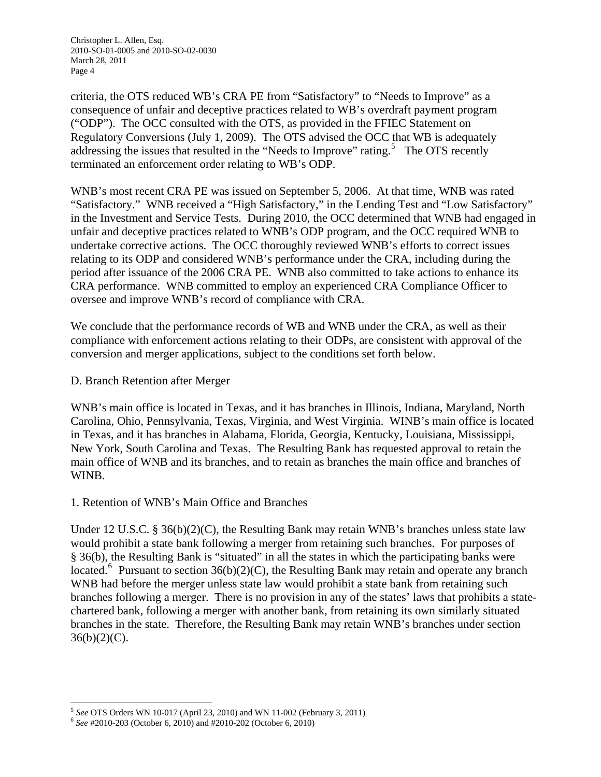criteria, the OTS reduced WB's CRA PE from "Satisfactory" to "Needs to Improve" as a consequence of unfair and deceptive practices related to WB's overdraft payment program ("ODP"). The OCC consulted with the OTS, as provided in the FFIEC Statement on Regulatory Conversions (July 1, 2009). The OTS advised the OCC that WB is adequately addressing the issues that resulted in the "Needs to Improve" rating.<sup>[5](#page-3-0)</sup> The OTS recently terminated an enforcement order relating to WB's ODP.

WNB's most recent CRA PE was issued on September 5, 2006. At that time, WNB was rated "Satisfactory." WNB received a "High Satisfactory," in the Lending Test and "Low Satisfactory" in the Investment and Service Tests. During 2010, the OCC determined that WNB had engaged in unfair and deceptive practices related to WNB's ODP program, and the OCC required WNB to undertake corrective actions. The OCC thoroughly reviewed WNB's efforts to correct issues relating to its ODP and considered WNB's performance under the CRA, including during the period after issuance of the 2006 CRA PE. WNB also committed to take actions to enhance its CRA performance. WNB committed to employ an experienced CRA Compliance Officer to oversee and improve WNB's record of compliance with CRA.

We conclude that the performance records of WB and WNB under the CRA, as well as their compliance with enforcement actions relating to their ODPs, are consistent with approval of the conversion and merger applications, subject to the conditions set forth below.

#### D. Branch Retention after Merger

WNB's main office is located in Texas, and it has branches in Illinois, Indiana, Maryland, North Carolina, Ohio, Pennsylvania, Texas, Virginia, and West Virginia. WINB's main office is located in Texas, and it has branches in Alabama, Florida, Georgia, Kentucky, Louisiana, Mississippi, New York, South Carolina and Texas. The Resulting Bank has requested approval to retain the main office of WNB and its branches, and to retain as branches the main office and branches of WINB.

# 1. Retention of WNB's Main Office and Branches

Under 12 U.S.C. § 36(b)(2)(C), the Resulting Bank may retain WNB's branches unless state law would prohibit a state bank following a merger from retaining such branches. For purposes of § 36(b), the Resulting Bank is "situated" in all the states in which the participating banks were located.<sup>[6](#page-3-1)</sup> Pursuant to section 36(b)(2)(C), the Resulting Bank may retain and operate any branch WNB had before the merger unless state law would prohibit a state bank from retaining such branches following a merger. There is no provision in any of the states' laws that prohibits a statechartered bank, following a merger with another bank, from retaining its own similarly situated branches in the state. Therefore, the Resulting Bank may retain WNB's branches under section  $36(b)(2)(C)$ .

<span id="page-3-0"></span> $\overline{a}$ <sup>5</sup> *See* OTS Orders WN 10-017 (April 23, 2010) and WN 11-002 (February 3, 2011) 6 *See* #2010-203 (October 6, 2010) and #2010-202 (October 6, 2010)

<span id="page-3-1"></span>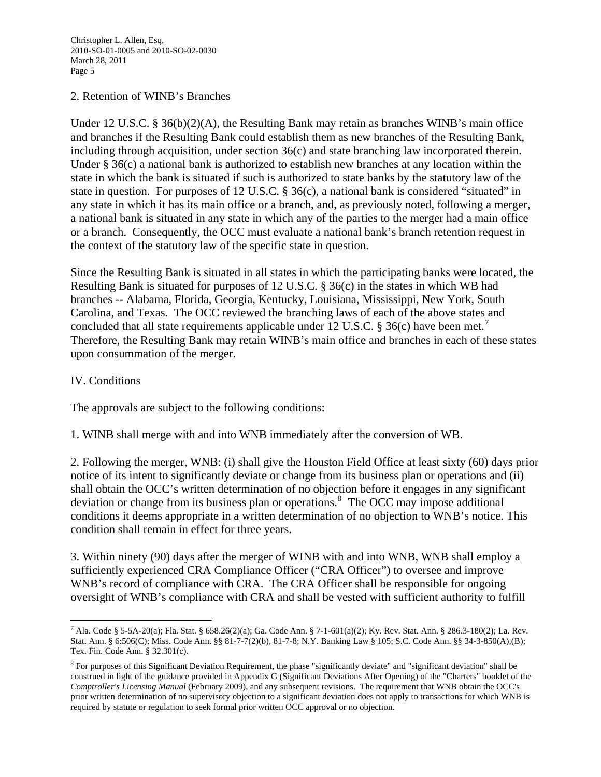#### 2. Retention of WINB's Branches

Under 12 U.S.C. § 36(b)(2)(A), the Resulting Bank may retain as branches WINB's main office and branches if the Resulting Bank could establish them as new branches of the Resulting Bank, including through acquisition, under section 36(c) and state branching law incorporated therein. Under § 36(c) a national bank is authorized to establish new branches at any location within the state in which the bank is situated if such is authorized to state banks by the statutory law of the state in question. For purposes of 12 U.S.C. § 36(c), a national bank is considered "situated" in any state in which it has its main office or a branch, and, as previously noted, following a merger, a national bank is situated in any state in which any of the parties to the merger had a main office or a branch. Consequently, the OCC must evaluate a national bank's branch retention request in the context of the statutory law of the specific state in question.

Since the Resulting Bank is situated in all states in which the participating banks were located, the Resulting Bank is situated for purposes of 12 U.S.C. § 36(c) in the states in which WB had branches -- Alabama, Florida, Georgia, Kentucky, Louisiana, Mississippi, New York, South Carolina, and Texas. The OCC reviewed the branching laws of each of the above states and concluded that all state requirements applicable under 12 U.S.C. § 36(c) have been met.<sup>[7](#page-4-0)</sup> Therefore, the Resulting Bank may retain WINB's main office and branches in each of these states upon consummation of the merger.

### IV. Conditions

The approvals are subject to the following conditions:

1. WINB shall merge with and into WNB immediately after the conversion of WB.

2. Following the merger, WNB: (i) shall give the Houston Field Office at least sixty (60) days prior notice of its intent to significantly deviate or change from its business plan or operations and (ii) shall obtain the OCC's written determination of no objection before it engages in any significant deviation or change from its business plan or operations.<sup>[8](#page-4-1)</sup> The OCC may impose additional conditions it deems appropriate in a written determination of no objection to WNB's notice. This condition shall remain in effect for three years.

3. Within ninety (90) days after the merger of WINB with and into WNB, WNB shall employ a sufficiently experienced CRA Compliance Officer ("CRA Officer") to oversee and improve WNB's record of compliance with CRA. The CRA Officer shall be responsible for ongoing oversight of WNB's compliance with CRA and shall be vested with sufficient authority to fulfill

<span id="page-4-0"></span> $\overline{a}$ 7 Ala. Code § 5-5A-20(a); Fla. Stat. § 658.26(2)(a); Ga. Code Ann. § 7-1-601(a)(2); Ky. Rev. Stat. Ann. § 286.3-180(2); La. Rev. Stat. Ann. § 6:506(C); Miss. Code Ann. §§ 81-7-7(2)(b), 81-7-8; N.Y. Banking Law § 105; S.C. Code Ann. §§ 34-3-850(A),(B); Tex. Fin. Code Ann. § 32.301(c).

<span id="page-4-1"></span><sup>&</sup>lt;sup>8</sup> For purposes of this Significant Deviation Requirement, the phase "significantly deviate" and "significant deviation" shall be construed in light of the guidance provided in Appendix G (Significant Deviations After Opening) of the "Charters" booklet of the *Comptroller's Licensing Manual* (February 2009), and any subsequent revisions. The requirement that WNB obtain the OCC's prior written determination of no supervisory objection to a significant deviation does not apply to transactions for which WNB is required by statute or regulation to seek formal prior written OCC approval or no objection.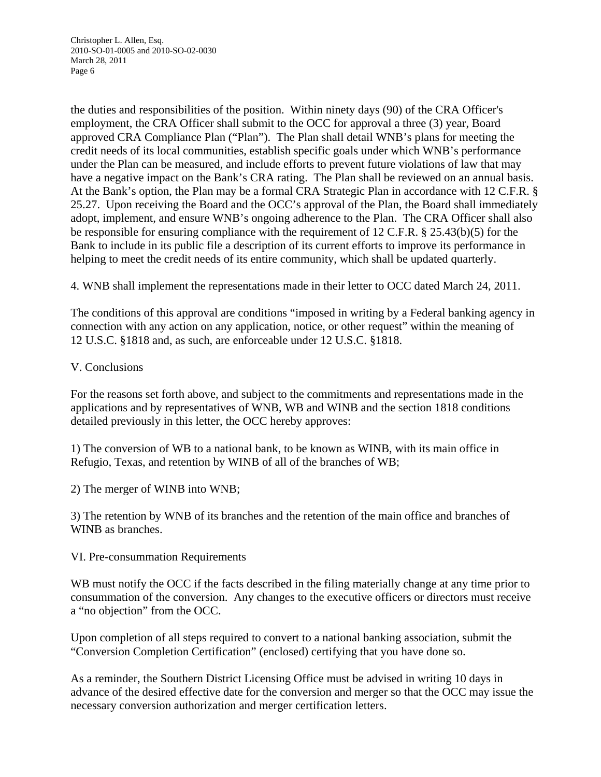the duties and responsibilities of the position. Within ninety days (90) of the CRA Officer's employment, the CRA Officer shall submit to the OCC for approval a three (3) year, Board approved CRA Compliance Plan ("Plan"). The Plan shall detail WNB's plans for meeting the credit needs of its local communities, establish specific goals under which WNB's performance under the Plan can be measured, and include efforts to prevent future violations of law that may have a negative impact on the Bank's CRA rating. The Plan shall be reviewed on an annual basis. At the Bank's option, the Plan may be a formal CRA Strategic Plan in accordance with 12 C.F.R. § 25.27. Upon receiving the Board and the OCC's approval of the Plan, the Board shall immediately adopt, implement, and ensure WNB's ongoing adherence to the Plan. The CRA Officer shall also be responsible for ensuring compliance with the requirement of 12 C.F.R. § 25.43(b)(5) for the Bank to include in its public file a description of its current efforts to improve its performance in helping to meet the credit needs of its entire community, which shall be updated quarterly.

4. WNB shall implement the representations made in their letter to OCC dated March 24, 2011.

The conditions of this approval are conditions "imposed in writing by a Federal banking agency in connection with any action on any application, notice, or other request" within the meaning of 12 U.S.C. §1818 and, as such, are enforceable under 12 U.S.C. §1818.

#### V. Conclusions

For the reasons set forth above, and subject to the commitments and representations made in the applications and by representatives of WNB, WB and WINB and the section 1818 conditions detailed previously in this letter, the OCC hereby approves:

1) The conversion of WB to a national bank, to be known as WINB, with its main office in Refugio, Texas, and retention by WINB of all of the branches of WB;

2) The merger of WINB into WNB;

3) The retention by WNB of its branches and the retention of the main office and branches of WINB as branches.

#### VI. Pre-consummation Requirements

WB must notify the OCC if the facts described in the filing materially change at any time prior to consummation of the conversion. Any changes to the executive officers or directors must receive a "no objection" from the OCC.

Upon completion of all steps required to convert to a national banking association, submit the "Conversion Completion Certification" (enclosed) certifying that you have done so.

As a reminder, the Southern District Licensing Office must be advised in writing 10 days in advance of the desired effective date for the conversion and merger so that the OCC may issue the necessary conversion authorization and merger certification letters.